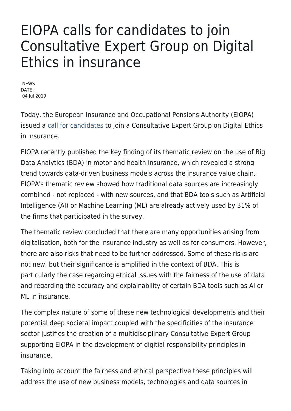## EIOPA calls for candidates to join Consultative Expert Group on Digital Ethics in insurance

**NEWS** DATE: 04 Iul 2019

Today, the European Insurance and Occupational Pensions Authority (EIOPA) issued a [call for candidates](https://www.eiopa.europa.eu/content/call-expression-interest-eiopa-consultative-expert-group-digital-ethics_en) to join a Consultative Expert Group on Digital Ethics in insurance.

EIOPA recently published the key finding of its thematic review on the use of Big Data Analytics (BDA) in motor and health insurance, which revealed a strong trend towards data-driven business models across the insurance value chain. EIOPA's thematic review showed how traditional data sources are increasingly combined - not replaced - with new sources, and that BDA tools such as Artificial Intelligence (AI) or Machine Learning (ML) are already actively used by 31% of the firms that participated in the survey.

The thematic review concluded that there are many opportunities arising from digitalisation, both for the insurance industry as well as for consumers. However, there are also risks that need to be further addressed. Some of these risks are not new, but their significance is amplified in the context of BDA. This is particularly the case regarding ethical issues with the fairness of the use of data and regarding the accuracy and explainability of certain BDA tools such as AI or ML in insurance.

The complex nature of some of these new technological developments and their potential deep societal impact coupled with the specificities of the insurance sector justifies the creation of a multidisciplinary Consultative Expert Group supporting EIOPA in the development of digitial responsibility principles in insurance.

Taking into account the fairness and ethical perspective these principles will address the use of new business models, technologies and data sources in